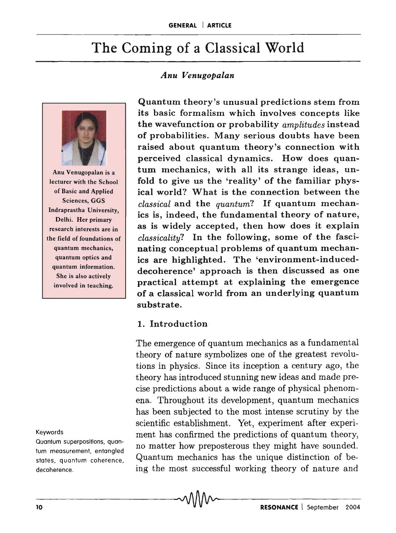# The Coming of a Classical World

#### *Anu Venugopalan*



Anu Venugopalan is a lecturer with the School of Basic and Applied Sciences, GGS Indraprastha University, Delhi. Her primary research interests are in the field of foundations of quantum mechanics, quantum optics and quantum information. She is also actively involved in teaching.

#### Keywords

Quantum superpositions, quantum measurement, entangled states, quantum coherence, decoherence.

Quantum theory's unusual predictions stem from its basic formalism which involves concepts like the wavefunction or probability *amplitudes* instead of probabilities. Many serious doubts have been raised about quantum theory's connection with perceived classical dynamics. How does quantum mechanics, with all its strange ideas, unfold to give us the 'reality' of the familiar physical world? What is the connection between the *classical* and the *quantum?* If quantum mechanics is, indeed, the fundamental theory of nature, as is widely accepted, then how does it explain *classicality?* In the following, some of the fascinating conceptual problems of quantum mechanics are highlighted. The 'environment-induceddecoherence' approach is then discussed as one practical attempt at explaining the emergence of a classical world from an underlying quantum substrate.

#### 1. Introduction

The emergence of quantum mechanics as a fundamental theory of nature symbolizes one of the greatest revolutions in physics. Since its inception a century ago, the theory has introduced stunning new ideas and made precise predictions about a wide range of physical phenomena. Throughout its development, quantum mechanics has been subjected to the most intense scrutiny by the scientific establishment. Yet, experiment after experiment has confirmed the predictions of quantum theory, no matter how preposterous they might have sounded. Quantum mechanics has the unique distinction of being the most successful working theory of nature and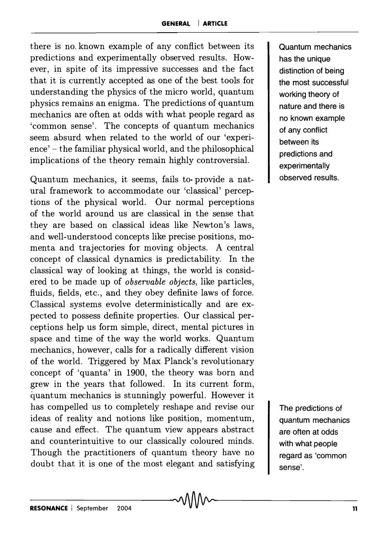there is no\_ known example of any conflict between its predictions and experimentally observed results. However, in spite of its impressive successes and the fact that it is currently accepted as one of the best tools for understanding the physics of the micro world, quantum physics remains an enigma. The predictions of quantum mechanics are often at odds with what people regard as 'common sense'. The concepts of quantum mechanics seem absurd when related to the world of our 'experience' - the familiar physical world, and the philosophical implications of the theory remain highly controversial.

Quantum mechanics, it seems, fails to· provide a natural framework to accommodate our 'classical' perceptions of the physical world. Our normal perceptions of the world around us are classical in the sense that they are based on classical ideas like Newton's laws, and well-understood concepts like precise positions, momenta and trajectories for moving objects. A central concept of classical dynamics is predictability. In the classical way of looking at things, the world is considered to be made up of *observable objects,* like particles, fluids, fields, etc., and they obey definite laws of force. Classical systems evolve deterministically and are expected to possess definite properties. Our classical perceptions help us form simple, direct, mental pictures in space and time of the way the world works. Quantum mechanics, however, calls for a radically different vision of the world. Triggered by Max Planck's revolutionary concept of 'quanta' in 1900, the theory was born and grew in the years that followed. In its current form, quantum mechanics is stunningly powerful. However it has compelled us to completely reshape and revise our ideas of reality and notions like position, momentum, cause and effect. The quantum view appears abstract and counterintuitive to our classically coloured minds. Though the practitioners of quantum theory have no doubt that it is one of the most elegant and satisfying Quantum mechanics has the unique distinction of being the most successful working theory of nature and there is no known example of any conflict between its predictions and experimentally observed results.

The predictions of quantum mechanics are often at odds with what people regard as 'common sense'.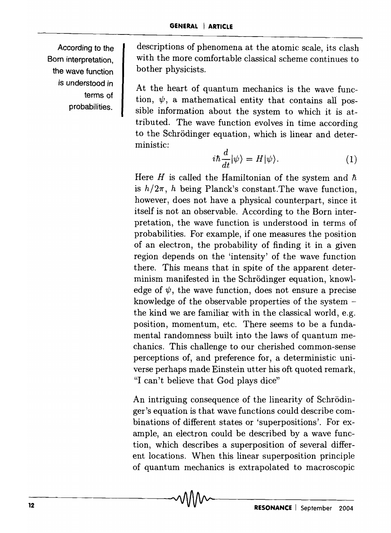According to the Born interpretation, the wave function is understood in terms of probabilities.

descriptions of phenomena at the atomic scale, its clash with the more comfortable classical scheme continues to bother physicists.

At the heart of quantum mechanics is the wave function,  $\psi$ , a mathematical entity that contains all possible information about the system to which it is attributed. The wave function evolves in time according to the Schrödinger equation, which is linear and deterministic:

$$
i\hbar \frac{d}{dt} |\psi\rangle = H |\psi\rangle. \tag{1}
$$

Here *H* is called the Hamiltonian of the system and  $\hbar$ is  $h/2\pi$ , h being Planck's constant. The wave function, however, does not have a physical counterpart, since it itself is not an observable. According to the Born interpretation, the wave function is understood in terms of probabilities. For example, if one measures the position of an electron, the probability of finding it in a given region depends on the 'intensity' of the wave function there. This means that in spite of the apparent determinism manifested in the Schrödinger equation, knowledge of  $\psi$ , the wave function, does not ensure a precise knowledge of the observable properties of the system the kind we are familiar with in the classical world, e.g. position, momentum, etc. There seems to be a fundamental randomness built into the laws of quantum mechanics. This challenge to our cherished common-sense perceptions of, and preference for, a deterministic universe perhaps made Einstein utter his oft quoted remark, "1 can't believe that God plays dice"

An intriguing consequence of the linearity of Schrodinger's equation is that wave functions could describe combinations of different states or 'superpositions'. For example, an electron could be described by a wave function, which describes a superposition of several different locations. When this linear superposition principle of quantum mechanics is extrapolated to macroscopic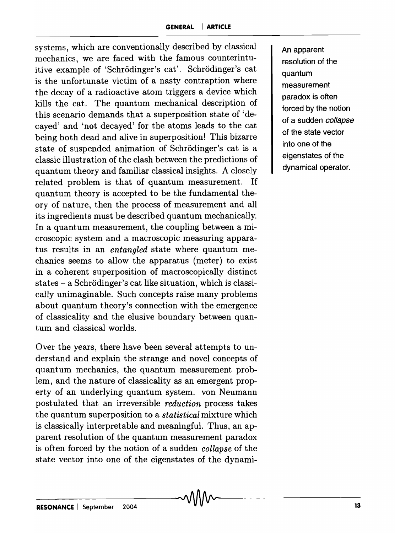systems, which are conventionally described by classical mechanics, we are faced with the famous counterintuitive example of 'Schrodinger's cat'. Schrodinger's cat is the unfortunate victim of a nasty contraption where the decay of a radioactive atom triggers a device which kills the cat. The quantum mechanical description of this scenario demands that a superposition state of 'decayed' and 'not decayed' for the atoms leads to the cat being both dead and alive in superposition! This bizarre state of suspended animation of Schrodinger's cat is a classic illustration of the clash between the predictions of quantum theory and familiar classical insights. A closely related problem is that of quantum measurement. If quantum theory is accepted to be the fundamental theory of nature, then the process of measurement and all its ingredients must be described quantum mechanically. In a quantum measurement, the coupling between a microscopic system and a macroscopic measuring apparatus results in an *entangled* state where quantum mechanics seems to allow the apparatus (meter) to exist in a coherent superposition of macroscopically distinct states - a Schrödinger's cat like situation, which is classically unimaginable. Such concepts raise many problems about quantum theory's connection with the emergence of classicality and the elusive boundary between quantum and classical worlds.

Over the years, there have been several attempts to understand and explain the strange and novel concepts of quantum mechanics, the quantum measurement problem, and the nature of classicality as an emergent property of an underlying quantum system. von Neumann postulated that an irreversible *reduction* process takes the quantum superposition to a *statistical* mixture which is classically interpretable and meaningful. Thus, an apparent resolution of the quantum measurement paradox is often forced by the notion of a sudden *collapse* of the state vector into one of the eigenstates of the dynamiAn apparent resolution of the quantum measurement paradox is often forced by the notion of a sudden collapse of the state vector into one of the eigenstates of the dynamical operator.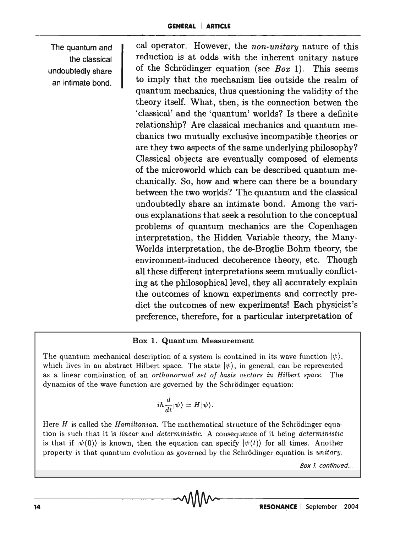The quantum and the classical undoubtedly share an intimate bond.

cal operator. However, the *non-unitary* nature of this reduction is at odds with the inherent unitary nature of the Schrodinger equation (see *Box* 1). This seems to imply that the mechanism lies outside the realm of quantum mechanics, thus questioning the validity of the theory itself. What, then, is the connection betwen the 'classical' and the 'quantum' worlds? Is there a definite relationship? Are classical mechanics and quantum mechanics two mutually exclusive incompatible.theories or are they two aspects of the same underlying philosophy? Classical objects are eventually composed of elements of the microworld which can be described quantum mechanically. So, how and where can there be a boundary between the two worlds? The quantum and the classical undoubtedly share an intimate bond. Among the various explanations that seek a resolution to the conceptual problems of quantum mechanics are the Copenhagen interpretation, the Hidden Variable theory, the Many-Worlds interpretation, the de-Broglie Bohm theory, the environment-induced decoherence theory, etc. Though all these different interpretations seem mutually conflicting at the philosophical level, they all accurately explain the outcomes of known experiments and correctly predict the outcomes of new experiments! Each physicist's preference, therefore, for a particular interpretation of

### Box 1. Quantum Measurement

The quantum mechanical description of a system is contained in its wave function  $|\psi\rangle$ , which lives in an abstract Hilbert space. The state  $|\psi\rangle$ , in general, can be represented as a linear combination of an *orthonormal set of basis vectors in Hilbert space.* The dynamics of the wave function are governed by the Schrodinger equation:

$$
i\hbar \frac{d}{dt}|\psi\rangle = H |\psi\rangle.
$$

Here *H* is called the *Hamiltonian.* The mathematical structure of the Schrodinger equation is such that it is *linear* and *deterministic*. A consequence of it being *deterministic* is that if  $|\psi(0)\rangle$  is known, then the equation can specify  $|\psi(t)\rangle$  for all times. Another property is that quantum evolution as governed by the Schrodinger equation is *unitm'y,* 

*Box* 1. *continued ..*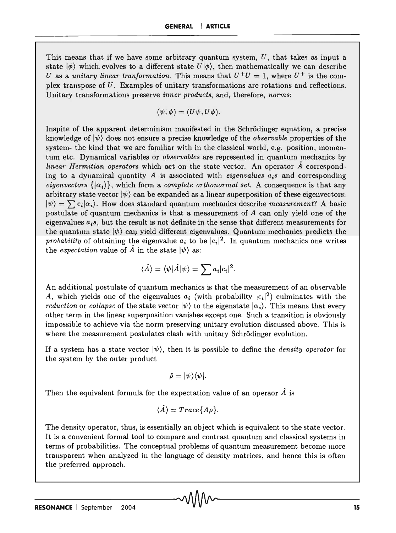This means that if we have some arbitrary quantum system,  $U$ , that takes as input a state  $|\phi\rangle$  which evolves to a different state  $U|\phi\rangle$ , then mathematically we can describe *U* as a *unitary linear tranformation*. This means that  $U^+U = 1$ , where  $U^+$  is the complex transpose of U. Examples of unitary transformations are rotations and reflections. Unitary transformations preserve *inner products*, and, therefore, *norms*:

$$
(\psi, \phi) = (U\psi, U\phi).
$$

Inspite of the apparent determinism manifested in the Schrodinger equation, a precise knowledge of  $|\psi\rangle$  does not ensure a precise knowledge of the *observable* properties of the system- the kind that we are familiar with in the classical world, e.g. position, momentum etc. Dynamical variables or *observables* are represented in quantum mechanics by *linear' Hermitian operators* which act on the state vector. An operator *A* corresponding to a dynamical quantity A is associated with *eigenvalues*  $a_i s$  and corresponding *eigenvectors*  $\{|\alpha_i\rangle\}$ , which form a *complete orthonormal set.* A consequence is that any arbitrary state vector  $|\psi\rangle$  can be expanded as a linear superposition of these eigenvectors:  $|\psi\rangle = \sum c_i |\alpha_i\rangle$ . How does standard quantum mechanics describe *measurement*? A basic postulate of quantum mechanics is that a measurement of A can only yield one of the eigenvalues  $a_i s$ , but the result is not definite in the sense that different measurements for the quantum state  $|\psi\rangle$  can yield different eigenvalues. Quantum mechanics predicts the *probability* of obtaining the eigenvalue  $a_i$  to be  $|c_i|^2$ . In quantum mechanics one writes the *expectation* value of  $\hat{A}$  in the state  $|\psi\rangle$  as:

$$
\langle \hat{A} \rangle = \langle \psi | \hat{A} | \psi \rangle = \sum a_i |c_i|^2.
$$

An additional postulate of quantum mechanics is that the measurement of an observable A, which yields one of the eigenvalues  $a_i$  (with probability  $|c_i|^2$ ) culminates with the *reduction* or *collapse* of the state vector  $|\psi\rangle$  to the eigenstate  $|\alpha_i\rangle$ . This means that every other term in the linear superposition vanishes except one. Such a transition is obviously impossible to achieve via the norm preserving unitary evolution discussed above, This is where the measurement postulates clash with unitary Schrödinger evolution.

If a system has a state vector  $|\psi\rangle$ , then it is possible to define the *density operator* for the system by the outer product

$$
\hat{\rho}=|\psi\rangle\langle\psi|.
$$

Then the equivalent formula for the expectation value of an operaor  $\hat{A}$  is

$$
\langle \hat{A} \rangle = Trace\{A\rho\}.
$$

The density operator, thus, is essentially an object which is equivalent to the state vector. It is a convenient formal tool to compare and contrast quantum and classical systems in terms of probabilities. The conceptual problems of quantum measurement become more transparent when analyzed in the language of density matrices, and hence this is often the preferred approach.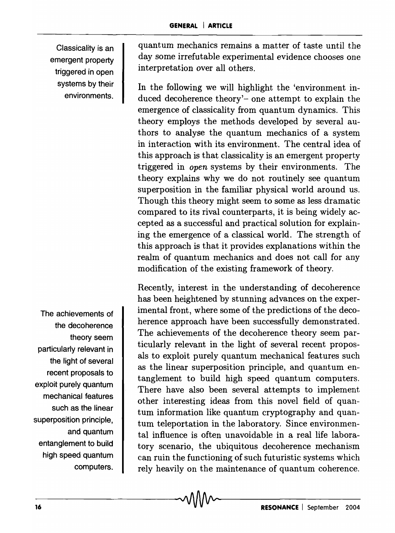Classicality is an emergent property triggered in open systems by their environments.

The achievements of the decoherence theory seem particularly relevant in the light of several recent proposals to exploit purely quantum mechanical features such as the linear superposition principle, and quantum entanglement to build high speed quantum computers.

quantum mechanics remains a matter of taste until the day some irrefutable experimental evidence chooses one interpretation over all others.

In the following we will highlight the 'environment induced decoherence theory'- one attempt to explain the emergence of classicality from quantum dynamics. This theory employs the methods developed by several authors to analyse the quantum mechanics of a system in interaction with its environment. The central idea of this approach is that classicality is an emergent property triggered in open systems by their environments. The theory explains why we do not routinely see quantum superposition in the familiar physical world around us. Though this theory might seem to some as less dramatic compared to its rival counterparts, it is being widely accepted as a successful and practical solution for explaining the emergence of a classical world. The strength of this approach is that it provides explanations within the realm of quantum mechanics and does not call for any modification of the existing framework of theory.

Recently, interest in the understanding of decoherence has been heightened by stunning advances on the experimental front, where some of the predictions of the decoherence approach have been successfully demonstrated. The achievements of the decoherence theory seem particularly relevant in the light of several recent proposals to exploit purely quantum mechanical features such as the linear superposition principle, and quantum entanglement to build high speed quantum computers. There have also been several attempts to implement other interesting ideas from this novel field of quantum information like quantum cryptography and quantum teleportation in the laboratory. Since environmental influence is often unavoidable in a real life laboratory scenario, the ubiquitous decoherence mechanism can ruin the functioning of such futuristic systems which rely heavily on the maintenance of quantum coherence.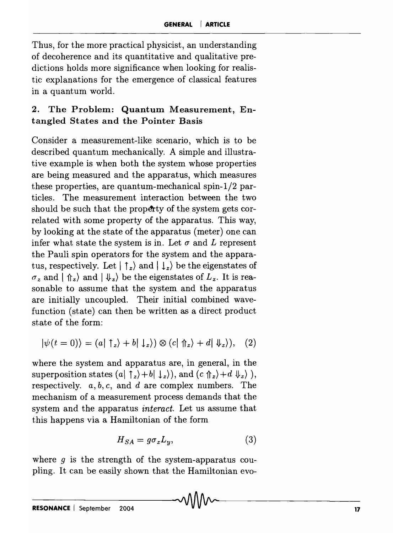Thus, for the more practical physicist, an understanding of decoherence and its quantitative and qualitative predictions holds more significance when looking for realistic explanations for the emergence of classical features in a quantum world.

## 2. The Problem: Quantum Measurement, Entangled States and the Pointer Basis

Consider a measurement-like scenario, which is to be described quantum mechanically. A simple and illustrative example is when both the system whose properties are being measured and the apparatus, which measures these properties, are quantum-mechanical spin-l/2 particles. The measurement interaction between the two should be such that the property of the system gets correlated with some property of the apparatus. This way, by looking at the state of the apparatus (meter) one can infer what state the system is in. Let  $\sigma$  and L represent the Pauli spin operators for the system and the apparatus, respectively. Let  $\vert \uparrow_z \rangle$  and  $\vert \downarrow_z \rangle$  be the eigenstates of  $\sigma_z$  and  $|\Uparrow_z\rangle$  and  $|\Downarrow_z\rangle$  be the eigenstates of  $L_z$ . It is reasonable to assume that the system and the apparatus are initially uncoupled. Their initial combined wavefunction (state) can then be written as a direct product state of the form:

$$
|\psi(t=0)\rangle = (a|\uparrow_z\rangle + b|\downarrow_z\rangle) \otimes (c|\uparrow_z\rangle + d|\downarrow_z\rangle), \quad (2)
$$

where the system and apparatus are, in general, in the superposition states  $(a | \uparrow_z \rangle + b | \downarrow_z \rangle)$ , and  $(c | \uparrow_z \rangle + d | \downarrow_z \rangle)$ , respectively. *a,* b, c, and d are complex numbers. The mechanism of a measurement process demands that the system and the apparatus *interact.* Let us assume that this happens via a Hamiltonian of the form

$$
H_{SA} = g\sigma_z L_y,\tag{3}
$$

where  $g$  is the strength of the system-apparatus coupling. It can be easily shown that the Hamiltonian evo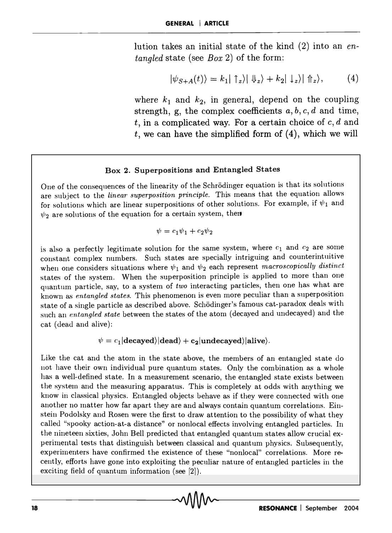lution takes an initial state of the kind (2) into an *entangled* state (see *Box* 2) of the form:

$$
|\psi_{S+A}(t)\rangle = k_1 |\uparrow_z\rangle |\Downarrow_z\rangle + k_2 |\downarrow_z\rangle |\Uparrow_z\rangle, \tag{4}
$$

where  $k_1$  and  $k_2$ , in general, depend on the coupling strength, g, the complex coefficients  $a, b, c, d$  and time,  $t$ , in a complicated way. For a certain choice of  $c$ ,  $d$  and *t,* we can have the simplified form of (4), which we will

#### Box 2. Superpositions and Entangled States

One of the consequences of the linearity of the Schrödinger equation is that its solutions are subject to the *linear superposition principle.* This means that the equation allows for solutions which are linear superpositions of other solutions. For example, if  $\psi_1$  and  $\psi_2$  are solutions of the equation for a certain system, then

$$
\psi = c_1 \psi_1 + c_2 \psi_2
$$

is also a perfectly legitimate solution for the same system, where *C1* and *C2* are some constant complex numbers. Such states are specially intriguing and counterintuitive when one considers situations where  $\psi_1$  and  $\psi_2$  each represent *macroscopically distinct* states of the system. When the superposition principle is applied to more than one quantum particle, say, to a system of *two* interacting particles, then one has what are known as *entangled states.* This phenomenon is even more peculiar than a superposition state of a single particle as described above. Schodinger's famous cat-paradox deals with such an *entangled state* between the states of the atom (decayed and undecayed) and the cat (dead and alive):

 $\psi = c_1 | \text{decayed} \rangle | \text{dead} \rangle + c_2 | \text{undecayed} \rangle | \text{alive} \rangle.$ 

Like the cat and the atom in the state above, the members of an entangled state do not have their own individual pure quantum states. Only the combination as a whole has a well-defined state. In a measurement scenario, the entangled state exists between the system and the measuring apparatus. This is completely at odds with anything we know in classical physics. Entangled objects behave as if they were connected with one another no matter how far apart they are and always contain quantum correlations. Einstein Podolsky and Rosen were the first to draw attention to the possibility of what they called "spooky action-at-a distance" or nonlocal effects involving entangled particles. In the nineteen sixties, John Bell predicted that entangled quantum states allow crucial experimental tests that distinguish between classical and quantum physics. Subsequently, experimenters have confirmed the existence of these "nonlocal" correlations. More recently, efforts have gone into exploiting the peculiar nature of entangled particles in the exciting field of quantum information (see  $[2]$ ).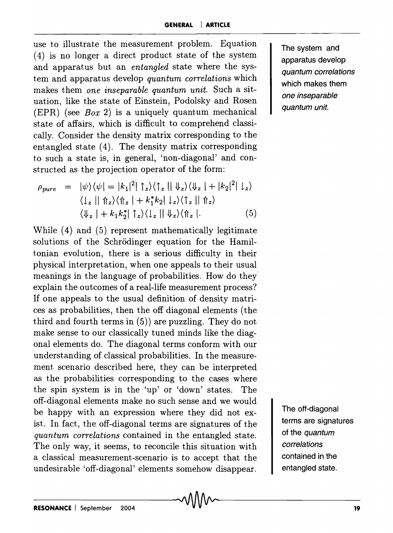use to illustrate the measurement problem. Equation ( 4) is no longer a direct product state of the system and apparatus but an *entangled* state where the system and apparatus develop *quantum correlations* which makes them *one inseparable quantum unit.* Such a situation, like the state of Einstein, Podolsky and Rosen (EPR) (see *Box* 2) is a uniquely quantum mechanical state of affairs, which is difficult to comprehend classically. Consider the density matrix corresponding to the entangled state (4). The density matrix corresponding to such a state is, in general, 'non-diagonal' and constructed as the projection operator of the form:

$$
\rho_{pure} = |\psi\rangle\langle\psi| = |k_1|^2 |\uparrow_z\rangle\langle\uparrow_z| |\downarrow_z\rangle\langle\downarrow_z| + |k_2|^2 |\downarrow_z\rangle
$$
  

$$
\langle\downarrow_z| |\uparrow_z\rangle\langle\uparrow_z| + k_1^*k_2 |\downarrow_z\rangle\langle\uparrow_z| |\uparrow_z\rangle
$$
  

$$
\langle\Downarrow_z| + k_1k_2^* |\uparrow_z\rangle\langle\downarrow_z| |\downarrow_z\rangle\langle\uparrow_z|.
$$
 (5)

While (4) and (5) represent mathematically legitimate solutions of the Schrödinger equation for the Hamiltonian evolution, there is a serious difficulty in their physical interpretation, when one appeals to their usual meanings in the language of probabilities. How do they explain the outcomes of a real-life measurement process? If one appeals to the usual definition of density matrices as probabilities, then the off diagonal elements (the third and fourth terms in (5)) are puzzling. They do not make sense to our classically tuned minds like the diagonal elements do. The diagonal terms conform with our understanding of classical probabilities. In the measurement scenario described here, they can be interpreted as the probabilities corresponding to the cases where the spin system is in the 'up' or 'down' states. The off-diagonal elements make no such sense and we would be happy with an expression where they did not exist. In fact, the off-diagonal terms are signatures of the *quantum correlations* contained in the entangled state. The only way, it seems, to reconcile this situation with a classical measurement-scenario is to accept that the undesirable 'off-diagonal' elements somehow disappear.

The system and apparatus develop quantum correlations which makes them one inseparable quantum unit.

The off-diagonal terms are signatures of the quantum correlations contained in the entangled state.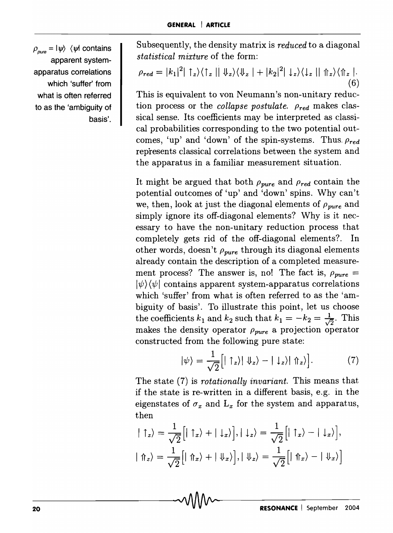$\rho_{\text{pure}} = |\psi\rangle$   $\langle \psi|$  contains apparent systemapparatus correlations which 'suffer' from what is often referred to as the 'ambiguity of basis'.

Subsequently, the density matrix is *reduced* to a diagonal *statistical mixture* of the form:

$$
\rho_{red} = |k_1|^2 |\uparrow_z\rangle\langle\uparrow_z| |\downarrow_z\rangle\langle\downarrow_z| + |k_2|^2 |\downarrow_z\rangle\langle\downarrow_z| |\uparrow_z\rangle\langle\uparrow_z|.
$$
\n(6)

This is equivalent to von Neumann's non-unitary reduction process or the *collapse postulate. Pred* makes classical sense. Its coefficients may be interpreted as classical probabilities corresponding to the two potential outcomes, 'up' and 'down' of the spin-systems. Thus.  $\rho_{red}$ represents classical correlations between the system and the apparatus in a familiar measurement situation.

It might be argued that both  $\rho_{pure}$  and  $\rho_{red}$  contain the potential outcomes of 'up' and 'down' spins. Why can't we, then, look at just the diagonal elements of  $\rho_{pure}$  and simply ignore its off-diagonal elements? Why is it necessary to have the non-unitary reduction process that completely gets rid of the off-diagonal elements? In other words, doesn't  $\rho_{pure}$  through its diagonal elements already contain the description of a completed measurement process? The answer is, no! The fact is,  $\rho_{pure} =$  $|\psi\rangle\langle\psi|$  contains apparent system-apparatus correlations which 'suffer' from what is often referred to as the 'ambiguity of basis'. To illustrate this point, let us choose the coefficients  $k_1$  and  $k_2$  such that  $k_1 = -k_2 = \frac{1}{\sqrt{2}}$ . This makes the density operator *Ppure* a projection operator constructed from the following pure state:

$$
|\psi\rangle = \frac{1}{\sqrt{2}} \Big[ |\uparrow_z\rangle |\Downarrow_z\rangle - |\downarrow_z\rangle |\Uparrow_z\rangle \Big]. \tag{7}
$$

The state (7) is *rotationally invariant.* This means that if the state is re-written in a different basis, e.g. in the eigenstates of  $\sigma_x$  and  $L_x$  for the system and apparatus, then

$$
|\uparrow_z\rangle = \frac{1}{\sqrt{2}} \Big[ |\uparrow_x\rangle + |\downarrow_x\rangle \Big], |\downarrow_z\rangle = \frac{1}{\sqrt{2}} \Big[ |\uparrow_x\rangle - |\downarrow_x\rangle \Big],
$$
  

$$
|\uparrow_z\rangle = \frac{1}{\sqrt{2}} \Big[ |\uparrow_x\rangle + |\Downarrow_x\rangle \Big], |\Downarrow_z\rangle = \frac{1}{\sqrt{2}} \Big[ |\uparrow_x\rangle - |\Downarrow_x\rangle \Big]
$$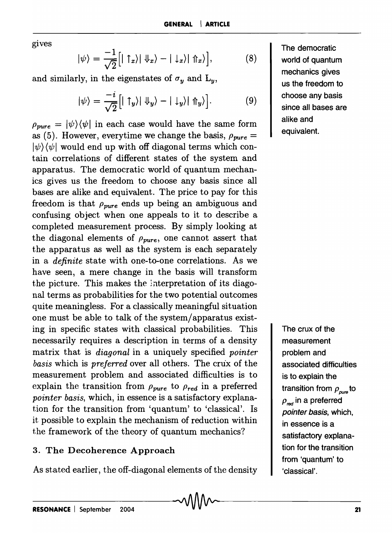gives

$$
|\psi\rangle = \frac{-1}{\sqrt{2}} \Big[ |\uparrow_x\rangle |\Downarrow_x\rangle - |\downarrow_x\rangle |\Uparrow_x\rangle \Big], \tag{8}
$$

and similarly, in the eigenstates of  $\sigma_y$  and  $L_y$ ,

$$
|\psi\rangle = \frac{-i}{\sqrt{2}} \Big[ |\uparrow_y\rangle |\Downarrow_y\rangle - |\downarrow_y\rangle |\Uparrow_y\rangle \Big]. \tag{9}
$$

 $\rho_{pure} = |\psi\rangle\langle\psi|$  in each case would have the same form as (5). However, everytime we change the basis,  $\rho_{pure} =$  $|\psi\rangle\langle\psi|$  would end up with off diagonal terms which contain correlations of different states of the system and apparatus. The democratic world of quantum mechanics gives us the freedom to choose any basis since all bases are alike and equivalent. The price to pay for this freedom is that  $\rho_{pure}$  ends up being an ambiguous and confusing object when one appeals to it to describe a completed measurement process. By simply looking at the diagonal elements of  $\rho_{pure}$ , one cannot assert that the apparatus as well as the system is each separately in a *definite* state with one-to-one correlations. As we have seen, a mere change in the basis will transform the picture. This makes the lnterpretation of its diagonal terms as probabilities for the two potential outcomes quite meaningless. For a classically meaningful situation one must be able to talk of the system/apparatus existing in specific states with classical probabilities. This necessarily requires a description in terms of a density matrix that is *diagonal* in a uniquely specified *pointer basis* which is *preferred* over all others. The crux of the measurement problem and associated difficulties is to explain the transition from  $\rho_{pure}$  to  $\rho_{red}$  in a preferred *pointer basis,* which, in essence is a satisfactory explanation for the transition from 'quantum' to 'classical'. Is it possible to explain the mechanism of reduction within the framework of the theory of quantum mechanics?

### 3. The Decoherence Approach

As stated earlier, the off-diagonal elements of the density

The democratic world of quantum mechanics gives us the freedom to choose any basis since all bases are alike and equivalent.

The crux of the measurement problem and associated difficulties is to explain the transition from  $\rho_{_{\text{pure}}}$  to  $\rho_{\text{ref}}$  in a preferred pointer basis, which, in essence is a satisfactory explanation for the transition from 'quantum' to 'classical' .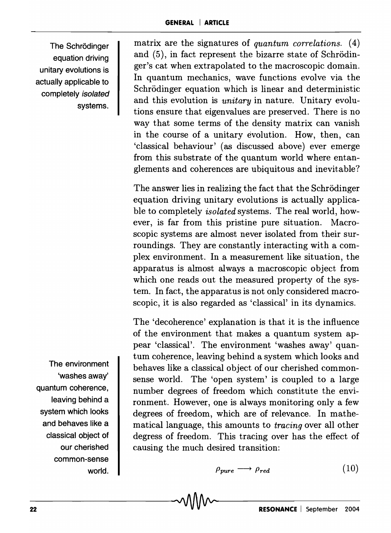**The Schrödinger** equation driving unitary evolutions is actually applicable to completely isolated systems.

The environment 'washes away' quantum coherence, leaving behind a system which looks and behaves like a classical object of our cherished common-sense world. matrix are the signatures of *quantum correlations.* (4) and (5), in fact represent the bizarre state of Schrodinger's cat when extrapolated to the macroscopic domain. In quantum mechanics, wave functions evolve via the Schrödinger equation which is linear and deterministic and this evolution is *unitary* in nature. Unitary evolutions ensure that eigenvalues are preserved. There is no way that some terms of the density matrix can vanish in the course of a unitary evolution. How, then, can 'classical behaviour' (as discussed above) ever emerge from this substrate of the quantum world where entanglements and coherences are ubiquitous and inevitable?

The answer lies in realizing the fact that the Schrödinger equation driving unitary evolutions is actually applicable to completely *isolated* systems. The real world, however, is far from this pristine pure situation. Macroscopic systems are almost never isolated from their surroundings. They are constantly interacting with a complex environment. In a measurement like situation, the apparatus is almost always a macroscopic object from which one reads out the measured property of the system. In fact, the apparatus is not only considered macroscopic, it is also regarded as 'classical' in its dynamics.

The 'decoherence' explanation is that it is the influence of the environment that makes a quantum system appear 'classical'. The environment 'washes away' quantum coherence, leaving behind a system which looks and behaves like a classical object of our cherished commonsense world. The 'open system' is coupled to a large number degrees of freedom which constitute the environment. However, one is always monitoring only a few degrees of freedom, which are of relevance. In mathematical language, this amounts to *tracing* over all other degress of freedom. This tracing over has the effect of causing the much desired transition:

$$
\rho_{pure} \longrightarrow \rho_{red} \tag{10}
$$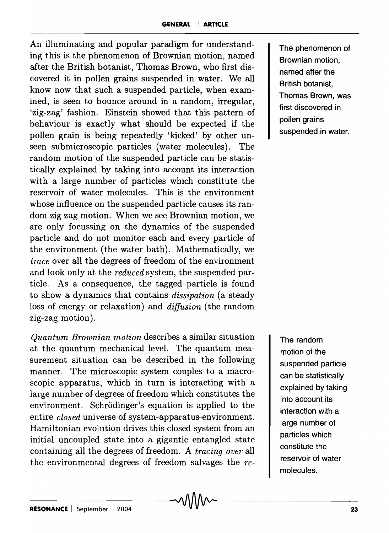An illuminating and popular paradigm for understanding this is the phenomenon of Brownian motion, named after the British botanist, Thomas Brown, who first discovered it in pollen grains suspended in water. We all know now that such a suspended particle, when examined, is seen to bounce around in a random, irregular, 'zig-zag' fashion. Einstein showed that this pattern of behaviour is exactly what should be expected if the pollen grain is being repeatedly 'kicked' by other unseen submicroscopic particles (water molecules). The random motion of the suspended particle can be statistically explained by taking into account its interaction with a large number of particles which constitute the reservoir of water molecules. This is the environment whose influence on the suspended particle causes its random zig zag motion. When we see Brownian motion, we are only focussing on the dynamics of the suspended particle and do not monitor each and every particle of the environment (the water bath). Mathematically, we *trace* over all the degrees of freedom of the environment and look only at the *reduced* system, the suspended particle. As a consequence, the tagged particle is found to show a dynamics that contains *dissipation* (a steady loss of energy or relaxation) and *diffusion* (the random zig-zag motion).

*Quantum Brownian motion* describes a similar situation at the quantum mechanical level. The quantum measurement situation can be described in the following manner. The microscopic system couples to a macroscopic apparatus, which in turn is interacting with a large number of degrees of freedom which constitutes the environment. Schrödinger's equation is applied to the entire *closed* universe of system-apparatus-environment. Hamiltonian evolution drives this closed system from an initial uncoupled state into a gigantic entangled state containing all the degrees of freedom. A *tracing over* all the environmental degrees of freedom salvages the *re-*

The phenomenon of Brownian motion, named after the British botanist, Thomas Brown, was first discovered in pollen grains suspended in water.

The random motion of the suspended particle can be statistically explained by taking into account its interaction with a large number of particles which constitute the reservoir of water molecules.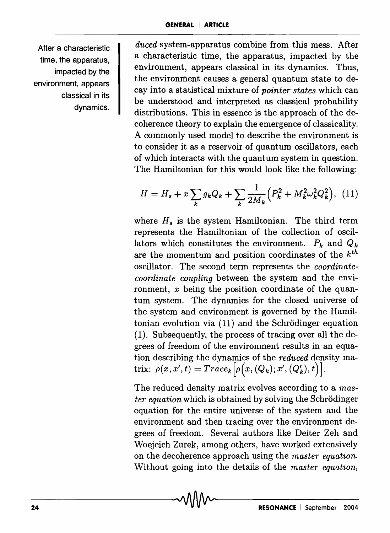After a characteristic time, the apparatus, impacted by the environment, appears classical in its dynamics.

*duced* system-apparatus combine from this mess. After a characteristic time, the apparatus, impacted by the environment, appears classical in its dynamics. Thus, the environment causes a general quantum state to decay into a statistical mixture of *pointer states* which can be understood and interpreted as classical probability distributions. This in essence is the approach of the decoherence theory to explain the emergence of classicality. A commonly used model to describe the environment is to consider it as a reservoir of quantum oscillators, each of which interacts with the quantum system in question. The Hamiltonian for this would look like the following:

$$
H = H_s + x \sum_{k} g_k Q_k + \sum_{k} \frac{1}{2M_k} \Big( P_k^2 + M_k^2 \omega_k^2 Q_k^2 \Big), \tag{11}
$$

where  $H_s$  is the system Hamiltonian. The third term represents the Hamiltonian of the collection of oscillators which constitutes the environment.  $P_k$  and  $Q_k$ are the momentum and position coordinates of the *kth*  oscillator. The second term represents the *coordinatecoordinate coupling* between the system and the environment, *x* being the position coordinate of the quantum system. The dynamics for the closed universe of the system and environment is governed by the Hamiltonian evolution via (11) and the Schrodinger equation (1). Subsequently, the process of tracing over all the degrees of freedom of the environment results in an equation describing the dynamics of the *reduced* density matrix:  $\rho(x, x', t) = Trace_{k} \big[ \rho\big(x, (Q_k); x', (Q'_k), t\big) \big].$ 

The reduced density matrix evolves according to a *master equation* which is obtained by solving the Schrodinger equation for the entire universe of the system and the environment and then tracing over the environment degrees of freedom. Several authors like Deiter Zeh and Woejeich Zurek, among others, have worked extensively on the decoherence approach using the *master equation.*  Without going into the details of the *master equation,*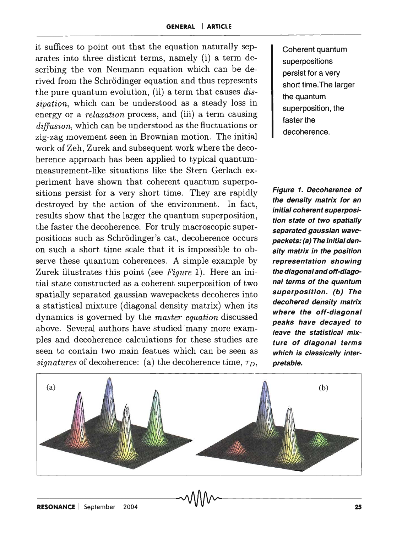it suffices to point out that the equation naturally separates into three disticnt terms, namely (i) a term describing the von Neumann equation which can be derived from the Schrödinger equation and thus represents the pure quantum evolution, (ii) a term that causes *dissipation,* which can be understood as a steady loss in energy or a *relaxation* process, and (iii) a term causing *diffusion,* which can be understood as the fluctuations or zig-zag movement seen in Brownian motion. The initial work of Zeh, Zurek and subsequent work where the decoherence approach has been applied to typical quantummeasurement-like situations like the Stern Gerlach experiment have shown that coherent quantum superpositions persist for a very short time. They are rapidly destroyed by the action of the environment. In fact, results show that the larger the quantum superposition, the faster the decoherence. For truly macroscopic superpositions such as Schrodinger's cat, decoherence occurs on such a short time scale that it is impossible to observe these quantum coherences. A simple example by Zurek illustrates this point (see *Figure* 1). Here an initial state constructed as a coherent superposition of two spatially separated gaussian wavepackets decoheres into a statistical mixture (diagonal density matrix) when its dynamics is governed by the *master equation* discussed above. Several authors have studied many more examples and decoherence calculations for these studies are seen to contain two main featues which can be seen as *signatures* of decoherence: (a) the decoherence time,  $\tau_D$ , Coherent quantum superpositions persist for a very short time.The larger the quantum superposition, the faster the decoherence.

Figure 1. Decoherence of the density matrix for an initial coherent superposition state of two spatially separated gaussian wavepackets: (a) The initial density matrix in the position representation showing the diagonal and off-diagonal terms of the quantum superposition. (b) The decohered density matrix where the off-diagonal peaks have decayed to leave the statistical mixture of diagonal terms which is classically interpretable.

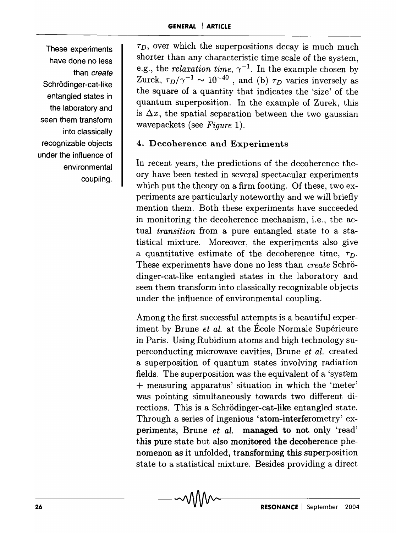These experiments have done no less than create Schrödinger-cat-like entangled states in the laboratory and seen them transform into classically recognizable objects under the influence of environmental coupling.

 $\tau_D$ , over which the superpositions decay is much much shorter than any characteristic time scale of the system, e.g., the *relaxation time,*  $\gamma^{-1}$ . In the example chosen by Zurek,  $\tau_D/\gamma^{-1} \sim 10^{-40}$ , and (b)  $\tau_D$  varies inversely as the square of a quantity that indicates the 'size' of the quantum superposition. In the example of Zurek, this is  $\Delta x$ , the spatial separation between the two gaussian wavepackets (see *Figure* 1).

### 4. Decoherence and Experiments

In recent years, the predictions of the decoherence theory have been tested in several spectacular experiments which put the theory on a firm footing. Of these, two experiments are particularly noteworthy and we will briefly mention them. Both these experiments have succeeded in monitoring the decoherence mechanism, i.e., the actual *transition* from a pure entangled state to a statistical mixture. Moreover, the experiments also give a quantitative estimate of the decoherence time,  $\tau_D$ . These experiments have done no less than *create* Schrodinger-eat-like entangled states in the laboratory and seen them transform into classically recognizable objects under the influence of environmental coupling.

Among the first successful attempts is a beautiful experiment by Brune et al. at the Ecole Normale Superieure in Paris. Using Rubidium atoms and high technology superconducting microwave cavities, Brune *et al.* created a superposition of quantum states involving radiation fields. The superposition was the equivalent of a 'system + measuring apparatus' situation in which the 'meter' was pointing simultaneously towards two different directions. This is a Schrödinger-cat-like entangled state. Through a series of ingenious 'atom-interferometry' experiments, Brune et *al.* managed to not only 'read' this pure state but also monitored the decoherence phenomenon as it unfolded, transforming this superposition state to a statistical mixture. Besides providing a direct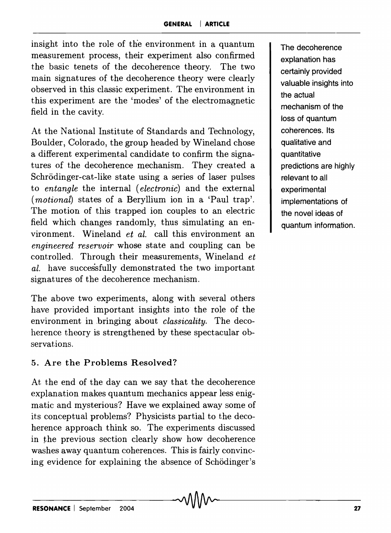insight into the role of th'e environment in a quantum measurement process, their experiment also confirmed the basic tenets of the decoherence theory. The two main signatures of the decoherence theory were clearly observed in this classic experiment. The environment in this experiment are the 'modes' of the electromagnetic field in the cavity.

At the National Institute of Standards and Technology, Boulder, Colorado, the group headed by Wineland chose a different experimental candidate to confirm the signatures of the decoherence mechanism. They created a Schrödinger-cat-like state using a series of laser pulses to *entangle* the internal *(electronic)* and the external *(motional)* states of a Beryllium ion in a 'Paul trap'. The motion of this trapped ion couples to an electric field which changes randomly, thus simulating an environment. Wineland *et al.* call this environment an *engineered reservoir* whose state and coupling can be controlled. Through their measurements, Wineland *et al.* have successfully demonstrated the two important signatures of the decoherence mechanism.

The above two experiments, along with several others have provided important insights into the role of the environment in bringing about *classicality*. The decoherence theory is strengthened by these spectacular observations.

### 5. Are the Problems Resolved?

At the end of the day can we say that the decoherence explanation makes quantum mechanics appear less enigmatic and mysterious? Have we explained away some of its conceptual problems? Physicists partial to the decoherence approach think so. The experiments discussed in the previous section clearly show how decoherence washes away quantum coherences. This is fairly convincing evidence for explaining the absence of Schodinger's

The decoherence explanation has certainly provided valuable insights into the actual mechanism of the loss of quantum coherences. Its qualitative and quantitative predictions are highly relevant to all experimental implementations of the novel ideas of quantum information.